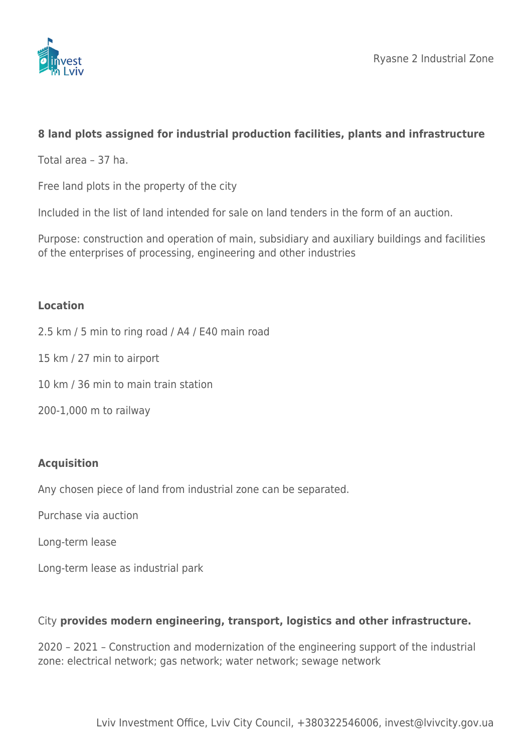

# **8 land plots assigned for industrial production facilities, plants and infrastructure**

Total area – 37 ha.

Free land plots in the property of the city

Included in the list of land intended for sale on land tenders in the form of an auction.

Purpose: construction and operation of main, subsidiary and auxiliary buildings and facilities of the enterprises of processing, engineering and other industries

## **Location**

- 2.5 km / 5 min to ring road / A4 / E40 main road
- 15 km / 27 min to airport
- 10 km / 36 min to main train station
- 200-1,000 m to railway

## **Acquisition**

Any chosen piece of land from industrial zone can be separated.

Purchase via auction

Long-term lease

Long-term lease as industrial park

## City **provides modern engineering, transport, logistics and other infrastructure.**

2020 – 2021 – Construction and modernization of the engineering support of the industrial zone: electrical network; gas network; water network; sewage network